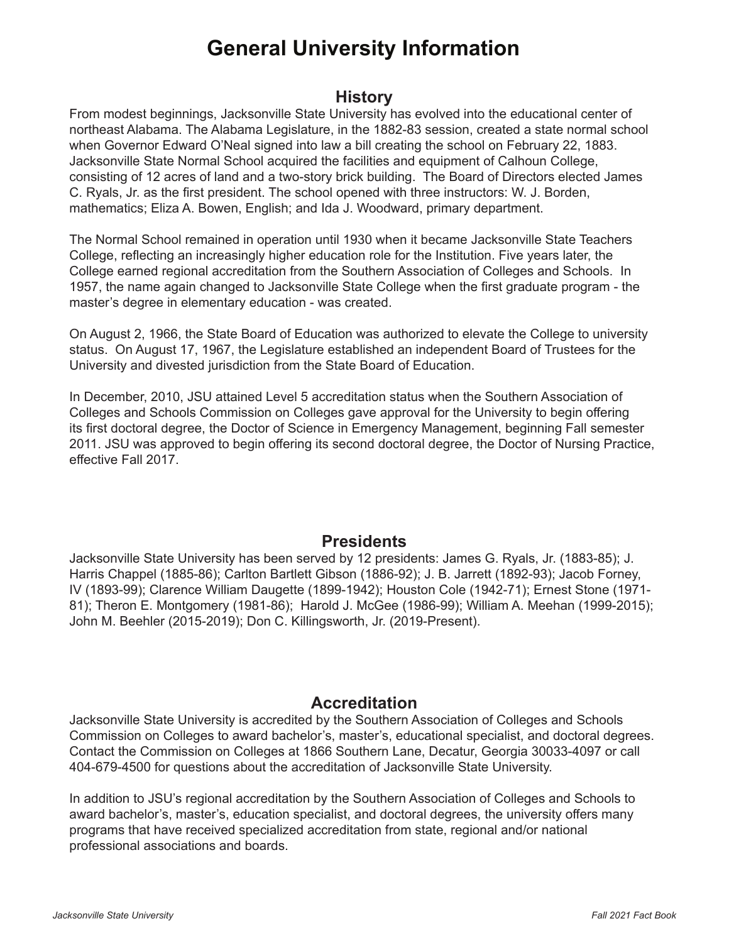# **General University Information**

### **History**

From modest beginnings, Jacksonville State University has evolved into the educational center of northeast Alabama. The Alabama Legislature, in the 1882-83 session, created a state normal school when Governor Edward O'Neal signed into law a bill creating the school on February 22, 1883. Jacksonville State Normal School acquired the facilities and equipment of Calhoun College, consisting of 12 acres of land and a two-story brick building. The Board of Directors elected James C. Ryals, Jr. as the first president. The school opened with three instructors: W. J. Borden, mathematics; Eliza A. Bowen, English; and Ida J. Woodward, primary department.

The Normal School remained in operation until 1930 when it became Jacksonville State Teachers College, reflecting an increasingly higher education role for the Institution. Five years later, the College earned regional accreditation from the Southern Association of Colleges and Schools. In 1957, the name again changed to Jacksonville State College when the first graduate program - the master's degree in elementary education - was created.

On August 2, 1966, the State Board of Education was authorized to elevate the College to university status. On August 17, 1967, the Legislature established an independent Board of Trustees for the University and divested jurisdiction from the State Board of Education.

In December, 2010, JSU attained Level 5 accreditation status when the Southern Association of Colleges and Schools Commission on Colleges gave approval for the University to begin offering its first doctoral degree, the Doctor of Science in Emergency Management, beginning Fall semester 2011. JSU was approved to begin offering its second doctoral degree, the Doctor of Nursing Practice, effective Fall 2017.

### **Presidents**

Jacksonville State University has been served by 12 presidents: James G. Ryals, Jr. (1883-85); J. Harris Chappel (1885-86); Carlton Bartlett Gibson (1886-92); J. B. Jarrett (1892-93); Jacob Forney, IV (1893-99); Clarence William Daugette (1899-1942); Houston Cole (1942-71); Ernest Stone (1971- 81); Theron E. Montgomery (1981-86); Harold J. McGee (1986-99); William A. Meehan (1999-2015); John M. Beehler (2015-2019); Don C. Killingsworth, Jr. (2019-Present).

### **Accreditation**

Jacksonville State University is accredited by the Southern Association of Colleges and Schools Commission on Colleges to award bachelor's, master's, educational specialist, and doctoral degrees. Contact the Commission on Colleges at 1866 Southern Lane, Decatur, Georgia 30033-4097 or call 404-679-4500 for questions about the accreditation of Jacksonville State University.

In addition to JSU's regional accreditation by the Southern Association of Colleges and Schools to award bachelor's, master's, education specialist, and doctoral degrees, the university offers many programs that have received specialized accreditation from state, regional and/or national professional associations and boards.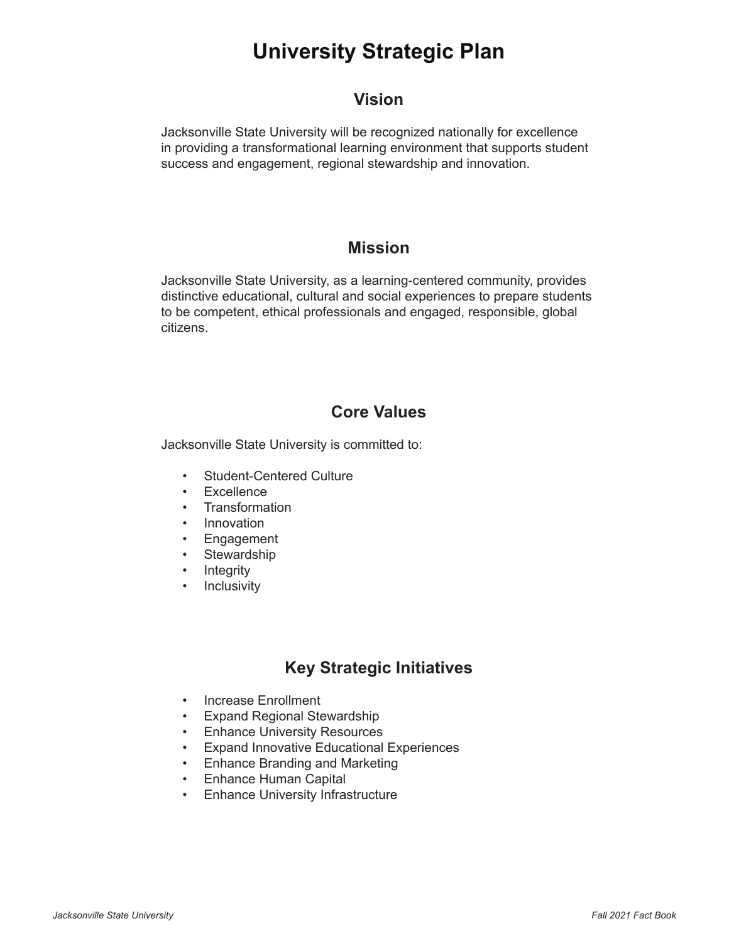# **University Strategic Plan**

### **Vision**

Jacksonville State University will be recognized nationally for excellence in providing a transformational learning environment that supports student success and engagement, regional stewardship and innovation.

### **Mission**

Jacksonville State University, as a learning-centered community, provides distinctive educational, cultural and social experiences to prepare students to be competent, ethical professionals and engaged, responsible, global citizens.

# **Core Values**

Jacksonville State University is committed to:

- Student-Centered Culture
- Excellence
- Transformation
- Innovation
- Engagement
- Stewardship
- Integrity
- Inclusivity

# **Key Strategic Initiatives**

- Increase Enrollment
- Expand Regional Stewardship
- Enhance University Resources
- Expand Innovative Educational Experiences
- Enhance Branding and Marketing
- Enhance Human Capital
- Enhance University Infrastructure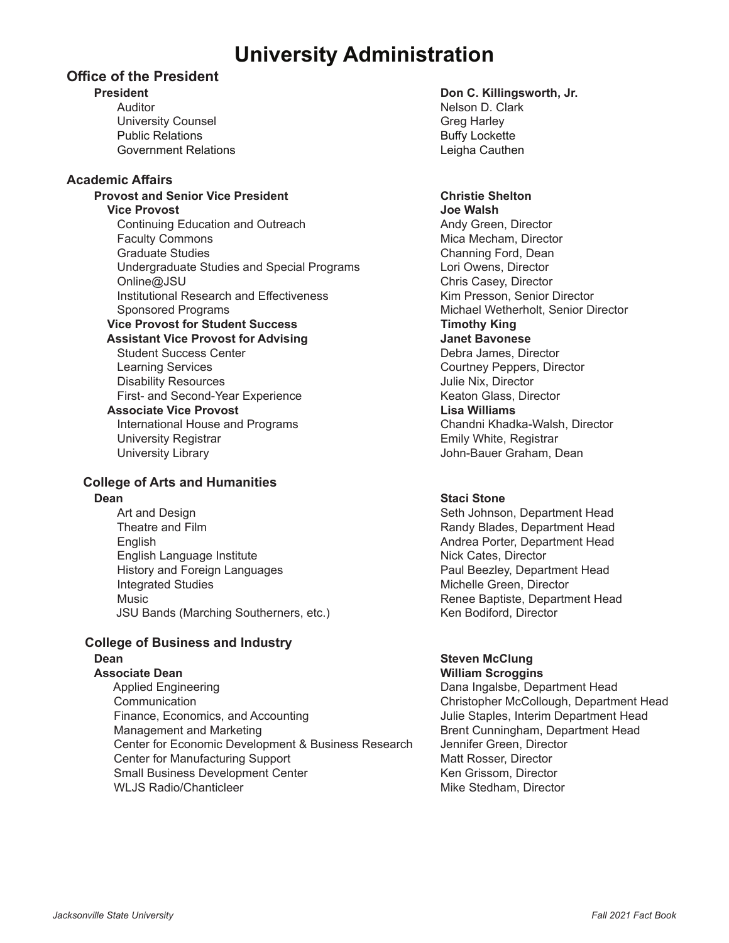# **University Administration**

### **Office of the President**

*Auditor Auditor Clark* University Counsel Contract Counsel Changes and Counsel Changes Changes Changes Changes Changes Changes Changes Public Relations **Buffy** Lockette Government Relations **Contact Contact Contact Contact Contact Contact Contact Contact Contact Contact Contact Contact Contact Contact Contact Contact Contact Contact Contact Contact Contact Contact Contact Contact Contact** 

### **Academic Affairs**

### **Provost and Senior Vice President Christian Shelton Christie Shelton**

 **Vice Provost Joe Walsh** Continuing Education and Outreach Andy Green, Director **Faculty Commons Commons Common Common Common Common Common Common Common Common Common Common Common Common Common Common Common Common Common Common Common Common Common Common Common Common Common Common Common Common C Channing Ford, Dean** Channing Ford, Dean Channing Ford, Dean Undergraduate Studies and Special Programs Lori Owens, Director Online@JSU Chris Casey, Director Institutional Research and Effectiveness Kim Presson, Senior DirectorSponsored Programs Michael Wetherholt, Senior Director **The Provost for Student Success Transform Student Success Filmothy King Student Student Student Student Student**<br>The Student Vice Provost for Advising Transform Student Bayonese **Assistant Vice Provost for Advising Student Success Center Community Community Community Community Debra James, Director Learning Services Courtney Peppers, Director Disability Resources** *Disability Resources Disability Resources* First- and Second-Year Experience The Control of Reaton Glass, Director **Associate Vice Provost Lisa Williams** International House and Programs Chandni Khadka-Walsh, Director

### **College of Arts and Humanities**

**Art and Design Seth Johnson, Department Head Seth Johnson, Department Head Seth Johnson, Department Head Seth Johnson, Department Head Seth Johnson, Department Head** Theatre and Film **Theatre and Film Randy Blades**, Department Head English **Andrea Porter, Department Head** Andrea Porter, Department Head English Language Institute<br>
History and Foreign Languages<br>
History and Foreign Languages<br>
Nick Cates, Director History and Foreign Languages Integrated Studies **Michelle Green, Director** Michelle Green, Director Music Renee Baptiste, Department Head JSU Bands (Marching Southerners, etc.) Ken Bodiford, Director

### **College of Business and Industry Dean** Steven McClung

**Associate Dean William Scroggins** Communication<br>
Christopher McCollough, Department Head<br>
Uulie Staples, Interim Department Head Management and Marketing Brent Cunningham, Department Head Center for Economic Development & Business Research Jennifer Green, Director Center for Manufacturing Support Matt Rosser, Director Small Business Development Center<br>WLJS Radio/Chanticleer

# **President Don C. Killingsworth, Jr.**

University Registrar **Emily White, Registrar** Emily White, Registrar University Library **Victor** Christian Muslim Communication of John-Bauer Graham, Dean

### **Dean Staci Stone** Staci Stone Staci Stone Staci Stone Staci Stone Staci Stone Staci Stone Staci Stone Staci Stone

Dana Ingalsbe, Department Head Julie Staples, Interim Department Head Mike Stedham, Director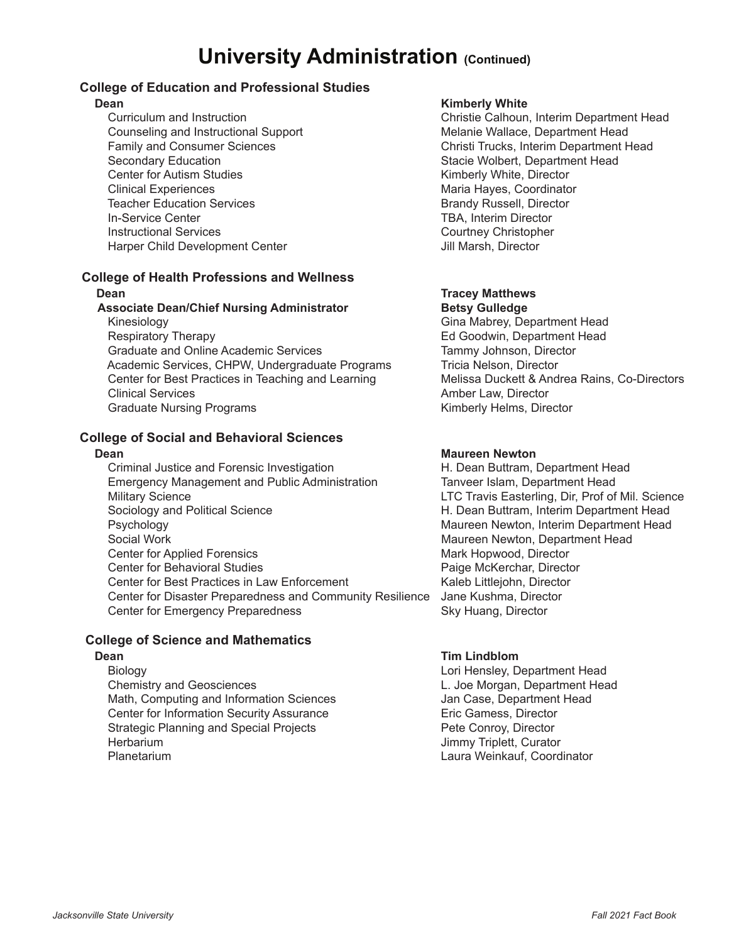# **University Administration (Continued)**

### **College of Education and Professional Studies**

 **Dean Kimberly White** Counseling and Instructional Support Melanie Wallace, Department Head Secondary Education **Stacie Wolfert, Department Head** Stacie Wolbert, Department Head Center for Autism Studies **Kimberly White, Director**  Clinical Experiences Maria Hayes, Coordinator Teacher Education Services **Brandy Russell**, Director In-Service Center TBA, Interim Director Instructional Services Courtney Christopher Harper Child Development Center **Marsh, Elizabeth Center** Jill Marsh, Director

# **College of Health Professions and Wellness Dean Tracey Matthews**

### **Associate Dean/Chief Nursing Administrator** Kinesiology Gina Mabrey, Department Head

Respiratory Therapy<br>
Graduate and Online Academic Services<br>
Graduate and Online Academic Services<br>
Tammy Johnson, Director Graduate and Online Academic Services Academic Services, CHPW, Undergraduate Programs Tricia Nelson, Director Center for Best Practices in Teaching and Learning Melissa Duckett & Andrea Rains, Co-Directors Clinical Services Amber Law, Director Graduate Nursing Programs **Kimberly Helms, Director** Kimberly Helms, Director

### **College of Social and Behavioral Sciences**

Criminal Justice and Forensic Investigation **H. Dean Buttram, Department Head**  Emergency Management and Public Administration Tanveer Islam, Department Head Military Science **LTC Travis Easterling, Dir, Prof of Mil. Science** Sociology and Political Science **H. Dean Buttram, Interim Department Head**  Psychology Maureen Newton, Interim Department Head Social Work Maureen Newton, Department Head Center for Applied Forensics **Mark Hopwood, Director** Mark Hopwood, Director Center for Behavioral Studies Paige McKerchar, Director Center for Best Practices in Law Enforcement Kaleb Littlejohn, Director Center for Disaster Preparedness and Community Resilience Jane Kushma, Director Center for Emergency Preparedness Sky Huang, Director

### **College of Science and Mathematics**

 Biology Lori Hensley, Department Head Chemistry and Geosciences L. Joe Morgan, Department Head Math, Computing and Information Sciences Theorem Superson Jan Case, Department Head Center for Information Security Assurance **Eric Gamess, Director**  Strategic Planning and Special Projects Pete Conroy, Director Herbarium Jimmy Triplett, Curator Planetarium Laura Weinkauf, Coordinator

**Christie Calhoun, Interim Department Head** Family and Consumer Sciences Christi Trucks, Interim Department Head

### **Dean Maureen Newton**

### **Dean Tim Lindblom**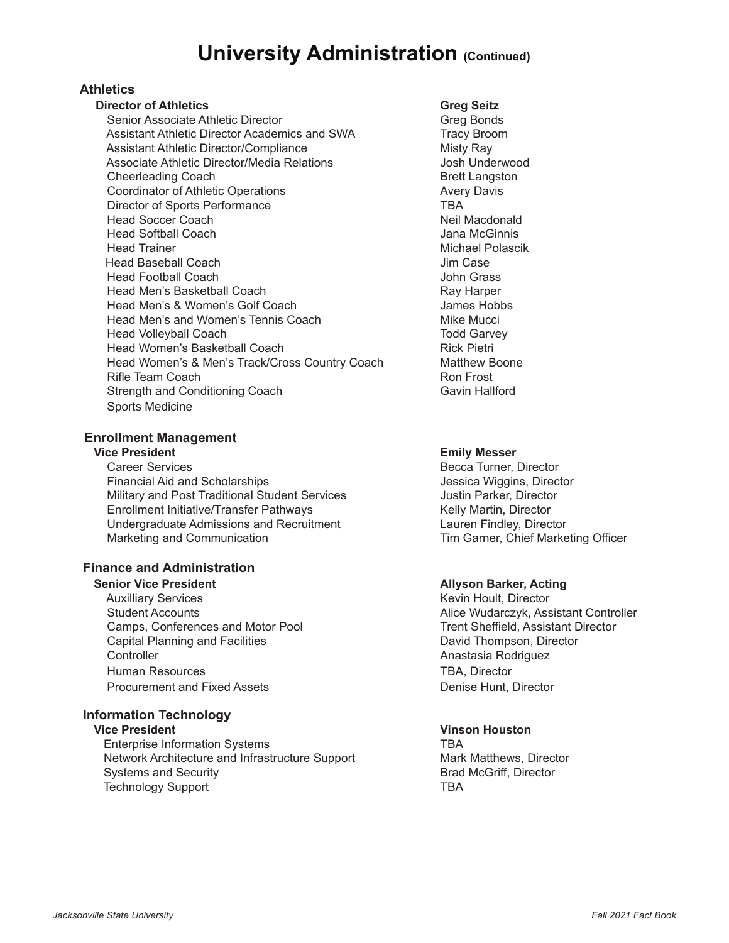# **University Administration (Continued)**

### **Athletics**

### **Director of Athletics Greg Seitz**

Senior Associate Athletic Director Greg Bonds Assistant Athletic Director Academics and SWA Tracy Broom Assistant Athletic Director/Compliance Misty Ray Associate Athletic Director/Media Relations **Fig. 10** Josh Underwood Cheerleading Coach Brett Langston Coordinator of Athletic Operations **Avery Davis** Avery Davis Director of Sports Performance TBA **Head Soccer Coach Neil Macdonald Neil Macdonald Neil Macdonald**  Head Softball Coach Jana McGinnis **Head Trainer Michael Polascik** Michael Polascik Head Baseball Coach **Jim Case** Head Football Coach **John Grass** John Grass Head Men's Basketball Coach **Ray Harper** Ray Harper Head Men's & Women's Golf Coach **Golf Coach Contained Act Contained Act Act Contained Act Contained Act Contained Act O** Head Men's and Women's Tennis Coach Mike Mucci Head Volleyball Coach Todd Garvey Head Women's Basketball Coach **Rick Pietri** Rick Pietri Head Women's & Men's Track/Cross Country Coach Matthew Boone Rifle Team Coach **Ron From Team Act 10** November 2012 19:30 Ron Frost Strength and Conditioning Coach Gavin Hallford Sports Medicine

### **Enrollment Management**

**Vice President Emily Messer**<br>Career Services **Emily Messer**<br>Becca Turner, Financial Aid and Scholarships<br>Military and Post Traditional Student Services Military and Post Traditional Student Services Military and Post Traditional Student Services **Enrollment Initiative/Transfer Pathways Kelly Martin, Director**  Undergraduate Admissions and Recruitment Lauren Findley, Director Marketing and Communication Tim Garner, Chief Marketing Officer

### **Finance and Administration**

Auxilliary Services **Kevin Hoult, Director** Kevin Hoult, Director Camps, Conferences and Motor Pool Trent Sheffield, Assistant Director Capital Planning and Facilities **David Thompson, Director** David Thompson, Director Controller **Anastasia Rodriguez Anastasia Rodriguez**  Human Resources TBA, Director Procurement and Fixed Assets **Denise Hunt, Director** Denise Hunt, Director

### **Information Technology**

Enterprise Information Systems TBA Network Architecture and Infrastructure Support Mark Matthews, Director<br>Systems and Security Matthews, Director Systems and Security Technology Support TBA

**Becca Turner, Director** 

### **Senior Vice President Allyson Barker, Acting Allyson Barker, Acting**

Student Accounts **Alice Wudarczyk, Assistant Controller** 

### **Vice President Vinson Houston**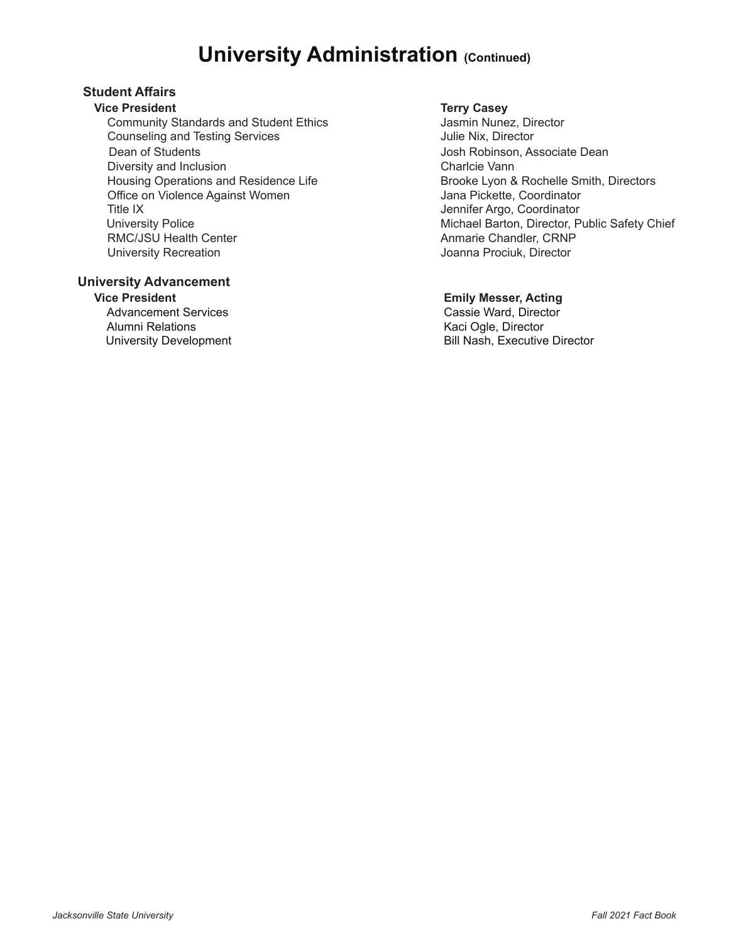# **University Administration (Continued)**

### **Student Affairs**

**Vice President**<br>
Community Standards and Student Ethics<br>
Terry Casey<br>
Jasmin Nunez, Director Community Standards and Student Ethics Counseling and Testing Services **Counseling and Testing Services** Julie Nix, Director **Dean of Students**<br>Diversity and Inclusion and Inclusion and Income and Income and Inclusion and Inclusion and Income and Income Charles Charles Vann Diversity and Inclusion<br>Housing Operations and Residence Life Office on Violence Against Women<br>
Title IX dennifer Argo, Coordinator<br>
Jennifer Argo, Coordinator Title IX<br>
University Police<br>
University Police<br>
2001 - Contract Michael Barton, Director, P University Recreation **Vocal** Community Recreation **Joanna Prociuk, Director** 

# **University Advancement**

**Ce President**<br>  **Vice President**<br>  **Advancement Services**<br> **Advancement Services**<br> **Cassie Ward Director** Advancement Services and Cassie Ward, Director<br>
Alumni Relations<br>
Cassie Ward, Director Alumni Relations<br>
University Development<br>
University Development<br>
Contract Linux Bill Nash, Executive

Brooke Lyon & Rochelle Smith, Directors University Police<br>
RMC/JSU Health Center<br>
Michael Barton, Director, Public Safety Chief Anmarie Chandler, CRNP

Bill Nash, Executive Director